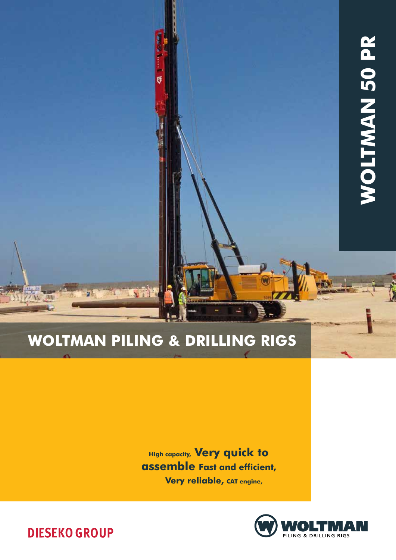# Woltman Piling & Drilling rigs

LY

U

**High capacity, Very quick to** assemble Fast and efficient, Very reliable, CAT engine,



**DIESEKO GROUP**